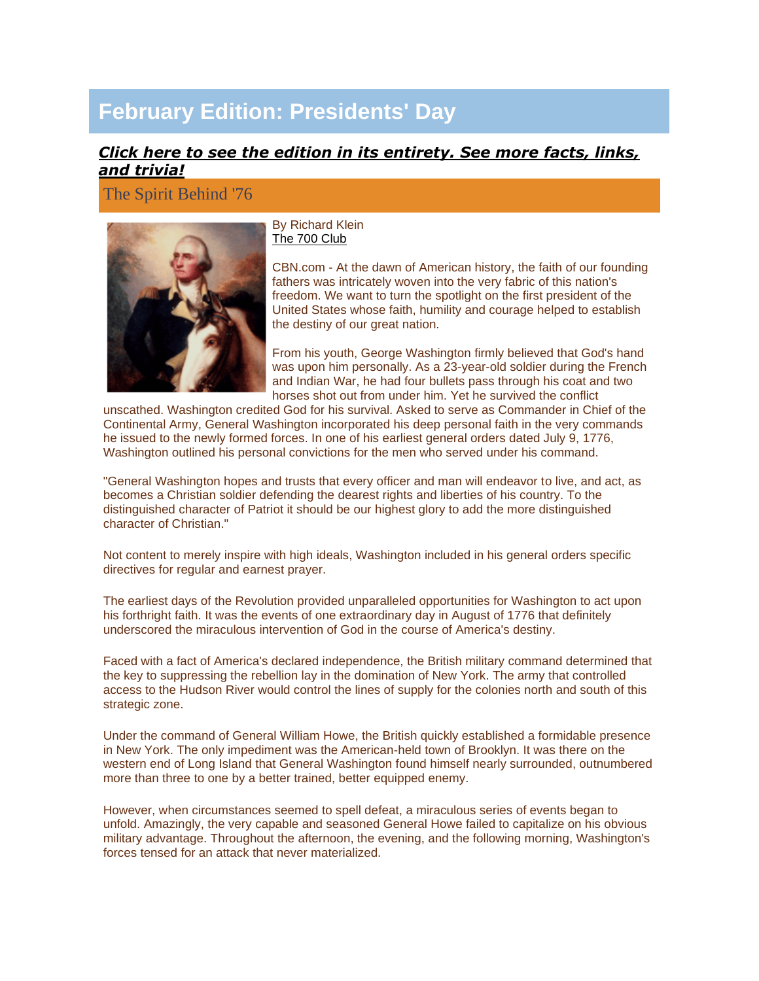# **February Edition: Presidents' Day**

## *[Click here to see the edition in its entirety. See more facts, links,](http://campaign.constantcontact.com/render?v=001aqj1QInodGR3z4awnd7OhSkaH3isUe8c6OFMZ3dmNMeQ3d7IJfM0foc_LRymEtPIpfCix9BnMol7i1lzKllhwg-ayBCkJ5E30SLqqn3PzMj_rLa-KiaqeqNCvK1P_fm_KgcmF9GG2ynW_jLVHrnJk7YOxgulGdcPrODKLbEprmLIA_cRy2BwlcRjjHN74u2ylPN7ZzeDSqrEQY_3wgcYSfNpSWyBcrV48eMwC7aXtsQfZ2hQtQKELGsK8ra2JKdHwP_DpCgPbNV5cDksHxp3inwW3OAd2eKafvTEaGKnsi1ZGVEbg51dYH5pR0-erTRJ)  [and trivia!](http://campaign.constantcontact.com/render?v=001aqj1QInodGR3z4awnd7OhSkaH3isUe8c6OFMZ3dmNMeQ3d7IJfM0foc_LRymEtPIpfCix9BnMol7i1lzKllhwg-ayBCkJ5E30SLqqn3PzMj_rLa-KiaqeqNCvK1P_fm_KgcmF9GG2ynW_jLVHrnJk7YOxgulGdcPrODKLbEprmLIA_cRy2BwlcRjjHN74u2ylPN7ZzeDSqrEQY_3wgcYSfNpSWyBcrV48eMwC7aXtsQfZ2hQtQKELGsK8ra2JKdHwP_DpCgPbNV5cDksHxp3inwW3OAd2eKafvTEaGKnsi1ZGVEbg51dYH5pR0-erTRJ)*

The Spirit Behind '76



By Richard Klein [The 700 Club](http://rs6.net/tn.jsp?et=1102458449477&e=001pjyow2Ij-gMl_e9MpZey2-VZ0WlzRtcgVlAG3Kid5NOI7c_0WTrzx7_qn_yMrf6gK0cSt4ofl2gdpCLhaGapQ1zoiA3N0k4o)

CBN.com - At the dawn of American history, the faith of our founding fathers was intricately woven into the very fabric of this nation's freedom. We want to turn the spotlight on the first president of the United States whose faith, humility and courage helped to establish the destiny of our great nation.

From his youth, George Washington firmly believed that God's hand was upon him personally. As a 23-year-old soldier during the French and Indian War, he had four bullets pass through his coat and two horses shot out from under him. Yet he survived the conflict

unscathed. Washington credited God for his survival. Asked to serve as Commander in Chief of the Continental Army, General Washington incorporated his deep personal faith in the very commands he issued to the newly formed forces. In one of his earliest general orders dated July 9, 1776, Washington outlined his personal convictions for the men who served under his command.

"General Washington hopes and trusts that every officer and man will endeavor to live, and act, as becomes a Christian soldier defending the dearest rights and liberties of his country. To the distinguished character of Patriot it should be our highest glory to add the more distinguished character of Christian."

Not content to merely inspire with high ideals, Washington included in his general orders specific directives for regular and earnest prayer.

The earliest days of the Revolution provided unparalleled opportunities for Washington to act upon his forthright faith. It was the events of one extraordinary day in August of 1776 that definitely underscored the miraculous intervention of God in the course of America's destiny.

Faced with a fact of America's declared independence, the British military command determined that the key to suppressing the rebellion lay in the domination of New York. The army that controlled access to the Hudson River would control the lines of supply for the colonies north and south of this strategic zone.

Under the command of General William Howe, the British quickly established a formidable presence in New York. The only impediment was the American-held town of Brooklyn. It was there on the western end of Long Island that General Washington found himself nearly surrounded, outnumbered more than three to one by a better trained, better equipped enemy.

However, when circumstances seemed to spell defeat, a miraculous series of events began to unfold. Amazingly, the very capable and seasoned General Howe failed to capitalize on his obvious military advantage. Throughout the afternoon, the evening, and the following morning, Washington's forces tensed for an attack that never materialized.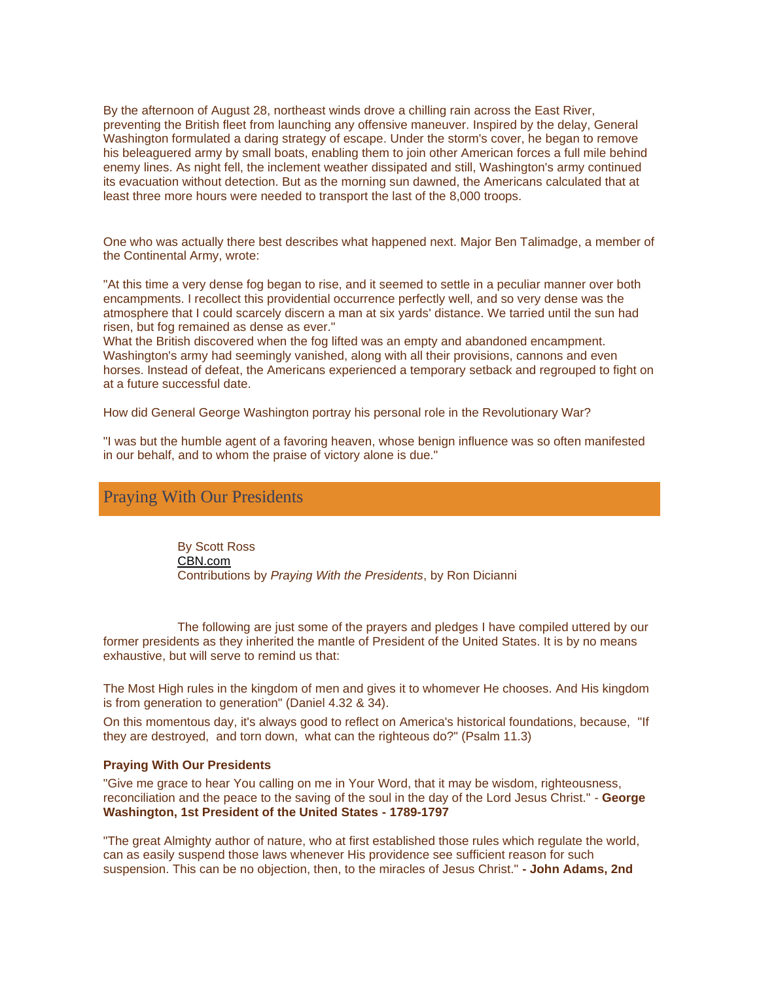By the afternoon of August 28, northeast winds drove a chilling rain across the East River, preventing the British fleet from launching any offensive maneuver. Inspired by the delay, General Washington formulated a daring strategy of escape. Under the storm's cover, he began to remove his beleaguered army by small boats, enabling them to join other American forces a full mile behind enemy lines. As night fell, the inclement weather dissipated and still, Washington's army continued its evacuation without detection. But as the morning sun dawned, the Americans calculated that at least three more hours were needed to transport the last of the 8,000 troops.

One who was actually there best describes what happened next. Major Ben Talimadge, a member of the Continental Army, wrote:

"At this time a very dense fog began to rise, and it seemed to settle in a peculiar manner over both encampments. I recollect this providential occurrence perfectly well, and so very dense was the atmosphere that I could scarcely discern a man at six yards' distance. We tarried until the sun had risen, but fog remained as dense as ever."

What the British discovered when the fog lifted was an empty and abandoned encampment. Washington's army had seemingly vanished, along with all their provisions, cannons and even horses. Instead of defeat, the Americans experienced a temporary setback and regrouped to fight on at a future successful date.

How did General George Washington portray his personal role in the Revolutionary War?

"I was but the humble agent of a favoring heaven, whose benign influence was so often manifested in our behalf, and to whom the praise of victory alone is due."

## Praying With Our Presidents

By Scott Ross [CBN.com](http://rs6.net/tn.jsp?et=1102458449477&e=001pjyow2Ij-gMl_e9MpZey2-VZ0WlzRtcgVlAG3Kid5NOI7c_0WTrzx7_qn_yMrf6gK0cSt4ofl2gdpCLhaGapQ1zoiA3N0k4o) Contributions by *Praying With the Presidents*, by Ron Dicianni

The following are just some of the prayers and pledges I have compiled uttered by our former presidents as they inherited the mantle of President of the United States. It is by no means exhaustive, but will serve to remind us that:

The Most High rules in the kingdom of men and gives it to whomever He chooses. And His kingdom is from generation to generation" (Daniel 4.32 & 34).

On this momentous day, it's always good to reflect on America's historical foundations, because, "If they are destroyed, and torn down, what can the righteous do?" (Psalm 11.3)

#### **Praying With Our Presidents**

"Give me grace to hear You calling on me in Your Word, that it may be wisdom, righteousness, reconciliation and the peace to the saving of the soul in the day of the Lord Jesus Christ." - **George Washington, 1st President of the United States - 1789-1797**

"The great Almighty author of nature, who at first established those rules which regulate the world, can as easily suspend those laws whenever His providence see sufficient reason for such suspension. This can be no objection, then, to the miracles of Jesus Christ." **- John Adams, 2nd**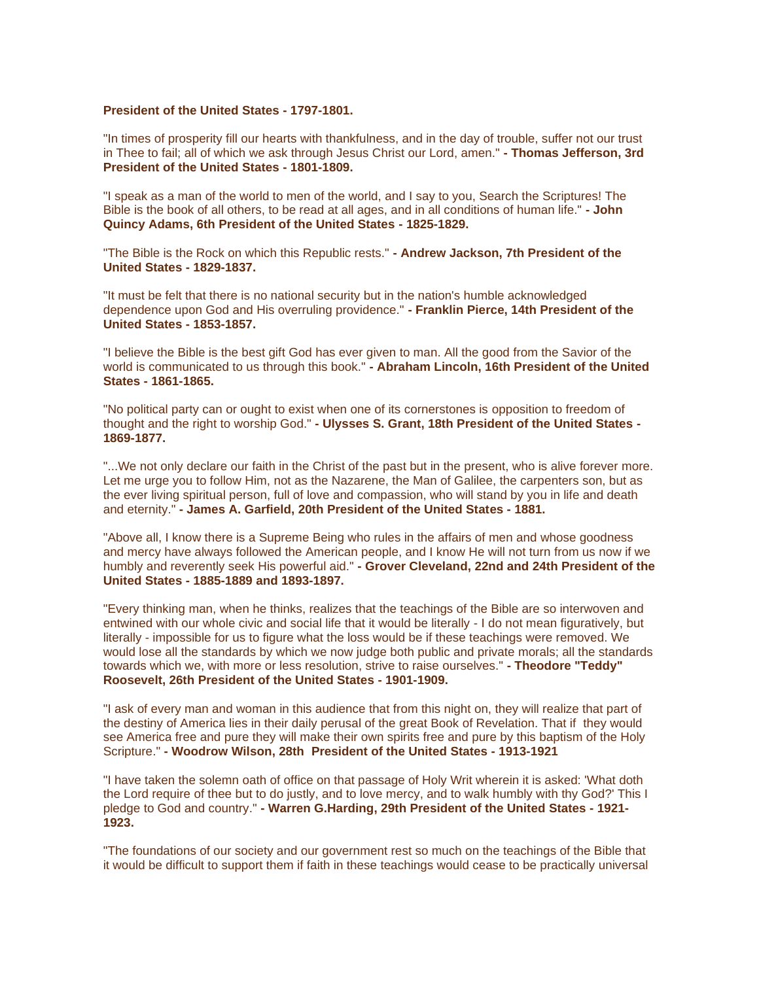### **President of the United States - 1797-1801.**

"In times of prosperity fill our hearts with thankfulness, and in the day of trouble, suffer not our trust in Thee to fail; all of which we ask through Jesus Christ our Lord, amen." **- Thomas Jefferson, 3rd President of the United States - 1801-1809.**

"I speak as a man of the world to men of the world, and I say to you, Search the Scriptures! The Bible is the book of all others, to be read at all ages, and in all conditions of human life." **- John Quincy Adams, 6th President of the United States - 1825-1829.**

"The Bible is the Rock on which this Republic rests." **- Andrew Jackson, 7th President of the United States - 1829-1837.**

"It must be felt that there is no national security but in the nation's humble acknowledged dependence upon God and His overruling providence." **- Franklin Pierce, 14th President of the United States - 1853-1857.**

"I believe the Bible is the best gift God has ever given to man. All the good from the Savior of the world is communicated to us through this book." **- Abraham Lincoln, 16th President of the United States - 1861-1865.**

"No political party can or ought to exist when one of its cornerstones is opposition to freedom of thought and the right to worship God." **- Ulysses S. Grant, 18th President of the United States - 1869-1877.**

"...We not only declare our faith in the Christ of the past but in the present, who is alive forever more. Let me urge you to follow Him, not as the Nazarene, the Man of Galilee, the carpenters son, but as the ever living spiritual person, full of love and compassion, who will stand by you in life and death and eternity." **- James A. Garfield, 20th President of the United States - 1881.**

"Above all, I know there is a Supreme Being who rules in the affairs of men and whose goodness and mercy have always followed the American people, and I know He will not turn from us now if we humbly and reverently seek His powerful aid." **- Grover Cleveland, 22nd and 24th President of the United States - 1885-1889 and 1893-1897.**

"Every thinking man, when he thinks, realizes that the teachings of the Bible are so interwoven and entwined with our whole civic and social life that it would be literally - I do not mean figuratively, but literally - impossible for us to figure what the loss would be if these teachings were removed. We would lose all the standards by which we now judge both public and private morals; all the standards towards which we, with more or less resolution, strive to raise ourselves." **- Theodore "Teddy" Roosevelt, 26th President of the United States - 1901-1909.**

"I ask of every man and woman in this audience that from this night on, they will realize that part of the destiny of America lies in their daily perusal of the great Book of Revelation. That if they would see America free and pure they will make their own spirits free and pure by this baptism of the Holy Scripture." **- Woodrow Wilson, 28th President of the United States - 1913-1921**

"I have taken the solemn oath of office on that passage of Holy Writ wherein it is asked: 'What doth the Lord require of thee but to do justly, and to love mercy, and to walk humbly with thy God?' This I pledge to God and country." **- Warren G.Harding, 29th President of the United States - 1921- 1923.**

"The foundations of our society and our government rest so much on the teachings of the Bible that it would be difficult to support them if faith in these teachings would cease to be practically universal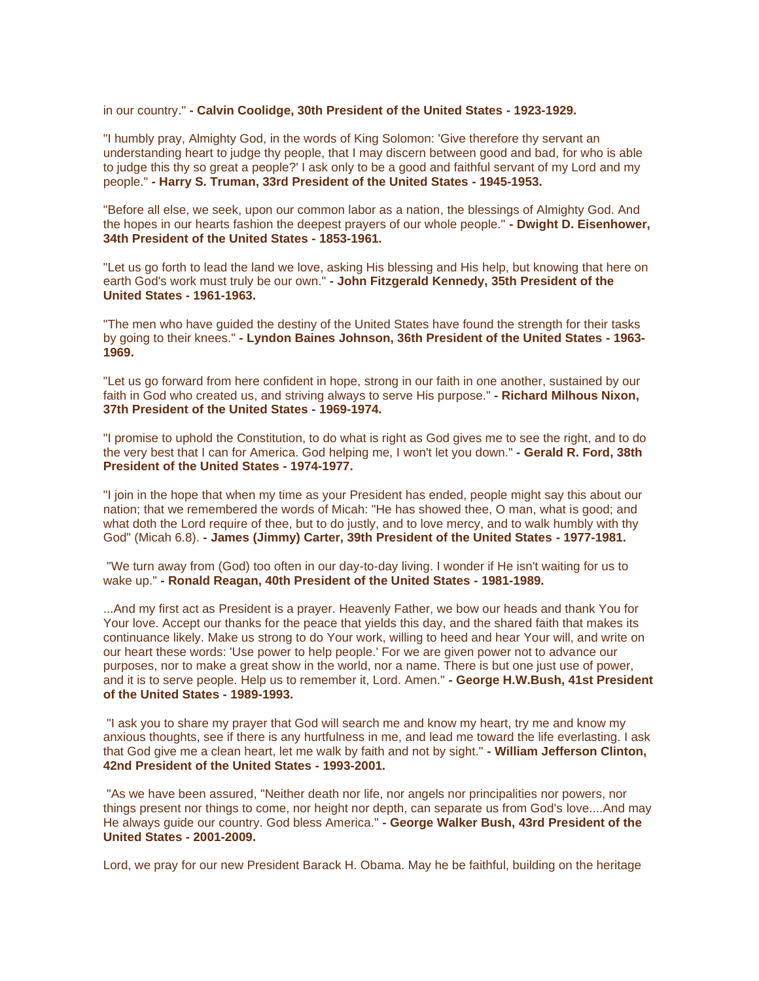in our country." **- Calvin Coolidge, 30th President of the United States - 1923-1929.**

"I humbly pray, Almighty God, in the words of King Solomon: 'Give therefore thy servant an understanding heart to judge thy people, that I may discern between good and bad, for who is able to judge this thy so great a people?' I ask only to be a good and faithful servant of my Lord and my people." **- Harry S. Truman, 33rd President of the United States - 1945-1953.**

"Before all else, we seek, upon our common labor as a nation, the blessings of Almighty God. And the hopes in our hearts fashion the deepest prayers of our whole people." **- Dwight D. Eisenhower, 34th President of the United States - 1853-1961.**

"Let us go forth to lead the land we love, asking His blessing and His help, but knowing that here on earth God's work must truly be our own." **- John Fitzgerald Kennedy, 35th President of the United States - 1961-1963.**

"The men who have guided the destiny of the United States have found the strength for their tasks by going to their knees." **- Lyndon Baines Johnson, 36th President of the United States - 1963- 1969.**

"Let us go forward from here confident in hope, strong in our faith in one another, sustained by our faith in God who created us, and striving always to serve His purpose." **- Richard Milhous Nixon, 37th President of the United States - 1969-1974.**

"I promise to uphold the Constitution, to do what is right as God gives me to see the right, and to do the very best that I can for America. God helping me, I won't let you down." **- Gerald R. Ford, 38th President of the United States - 1974-1977.**

"I join in the hope that when my time as your President has ended, people might say this about our nation; that we remembered the words of Micah: "He has showed thee, O man, what is good; and what doth the Lord require of thee, but to do justly, and to love mercy, and to walk humbly with thy God" (Micah 6.8). **- James (Jimmy) Carter, 39th President of the United States - 1977-1981.**

"We turn away from (God) too often in our day-to-day living. I wonder if He isn't waiting for us to wake up." **- Ronald Reagan, 40th President of the United States - 1981-1989.**

...And my first act as President is a prayer. Heavenly Father, we bow our heads and thank You for Your love. Accept our thanks for the peace that yields this day, and the shared faith that makes its continuance likely. Make us strong to do Your work, willing to heed and hear Your will, and write on our heart these words: 'Use power to help people.' For we are given power not to advance our purposes, nor to make a great show in the world, nor a name. There is but one just use of power, and it is to serve people. Help us to remember it, Lord. Amen." **- George H.W.Bush, 41st President of the United States - 1989-1993.**

"I ask you to share my prayer that God will search me and know my heart, try me and know my anxious thoughts, see if there is any hurtfulness in me, and lead me toward the life everlasting. I ask that God give me a clean heart, let me walk by faith and not by sight." **- William Jefferson Clinton, 42nd President of the United States - 1993-2001.**

"As we have been assured, "Neither death nor life, nor angels nor principalities nor powers, nor things present nor things to come, nor height nor depth, can separate us from God's love....And may He always guide our country. God bless America." **- George Walker Bush, 43rd President of the United States - 2001-2009.**

Lord, we pray for our new President Barack H. Obama. May he be faithful, building on the heritage